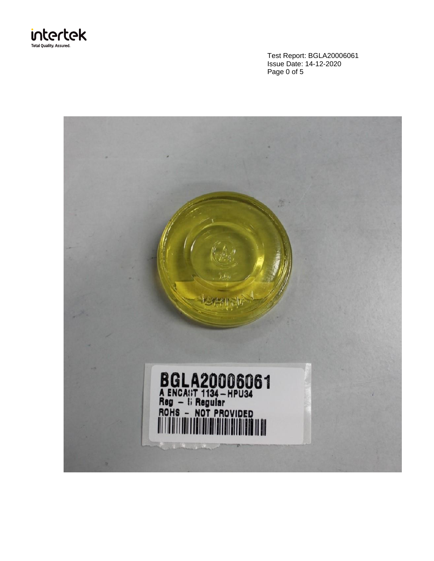

Test Report: BGLA20006061 Issue Date: 14-12-2020 Page 0 of 5

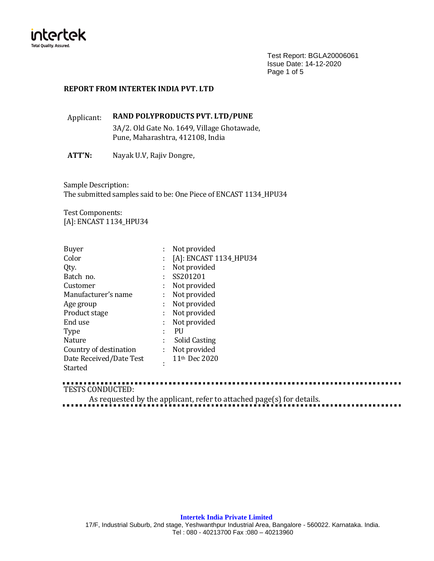

Test Report: BGLA20006061 Issue Date: 14-12-2020 Page 1 of 5

## **REPORT FROM INTERTEK INDIA PVT. LTD**

# Applicant: **RAND POLYPRODUCTS PVT. LTD/PUNE**

3A/2. Old Gate No. 1649, Village Ghotawade, Pune, Maharashtra, 412108, India

**ATT'N:** Nayak U.V, Rajiv Dongre,

Sample Description: The submitted samples said to be: One Piece of ENCAST 1134\_HPU34

Test Components: [A]: ENCAST 1134\_HPU34

| <b>Buyer</b>            |    | Not provided              |
|-------------------------|----|---------------------------|
| Color                   |    | [A]: ENCAST 1134_HPU34    |
| Qty.                    | ÷  | Not provided              |
| Batch no.               | ÷  | SS201201                  |
| Customer                |    | Not provided              |
| Manufacturer's name     | ÷. | Not provided              |
| Age group               | ÷. | Not provided              |
| Product stage           | ÷  | Not provided              |
| End use                 | ÷. | Not provided              |
| <b>Type</b>             |    | PU                        |
| Nature                  | t  | Solid Casting             |
| Country of destination  | ÷. | Not provided              |
| Date Received/Date Test | ٠  | 11 <sup>th</sup> Dec 2020 |
| Started                 |    |                           |

TESTS CONDUCTED:

As requested by the applicant, refer to attached page(s) for details.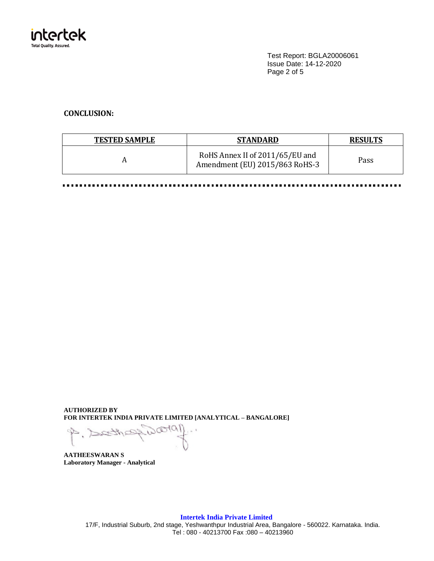

Test Report: BGLA20006061 Issue Date: 14-12-2020 Page 2 of 5

## **CONCLUSION:**

| <b>TESTED SAMPLE</b> | <b>STANDARD</b>                                                   | <b>RESULTS</b> |
|----------------------|-------------------------------------------------------------------|----------------|
|                      | RoHS Annex II of 2011/65/EU and<br>Amendment (EU) 2015/863 RoHS-3 | Pass           |

**AUTHORIZED BY FOR INTERTEK INDIA PRIVATE LIMITED [ANALYTICAL – BANGALORE]**

fol  $\sim$  1  $\rightarrow$ .

**AATHEESWARAN S Laboratory Manager - Analytical**

> **Intertek India Private Limited** 17/F, Industrial Suburb, 2nd stage, Yeshwanthpur Industrial Area, Bangalore - 560022. Karnataka. India. Tel : 080 - 40213700 Fax :080 – 40213960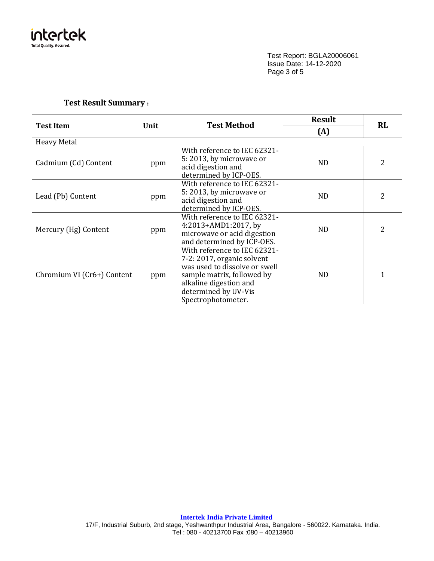

Test Report: BGLA20006061 Issue Date: 14-12-2020 Page 3 of 5

# **Test Result Summary :**

|                            |      | Test Method                                                                                                                                                                                       | <b>Result</b> | <b>RL</b>     |  |
|----------------------------|------|---------------------------------------------------------------------------------------------------------------------------------------------------------------------------------------------------|---------------|---------------|--|
| <b>Test Item</b>           | Unit |                                                                                                                                                                                                   | (A)           |               |  |
| <b>Heavy Metal</b>         |      |                                                                                                                                                                                                   |               |               |  |
| Cadmium (Cd) Content       | ppm  | With reference to IEC 62321-<br>5: 2013, by microwave or<br>acid digestion and<br>determined by ICP-OES.                                                                                          | <b>ND</b>     | 2             |  |
| Lead (Pb) Content          | ppm  | With reference to IEC 62321-<br>5:2013, by microwave or<br>acid digestion and<br>determined by ICP-OES.                                                                                           | ND            | 2             |  |
| Mercury (Hg) Content       | ppm  | With reference to IEC 62321-<br>4:2013+AMD1:2017, by<br>microwave or acid digestion<br>and determined by ICP-OES.                                                                                 | <b>ND</b>     | $\mathcal{L}$ |  |
| Chromium VI (Cr6+) Content | ppm  | With reference to IEC 62321-<br>7-2: 2017, organic solvent<br>was used to dissolve or swell<br>sample matrix, followed by<br>alkaline digestion and<br>determined by UV-Vis<br>Spectrophotometer. | ND.           | 1             |  |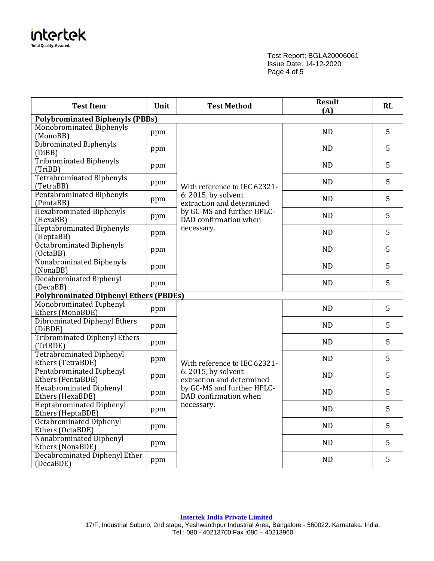

Test Report: BGLA20006061 Issue Date: 14-12-2020 Page 4 of 5

| <b>Test Item</b><br>Unit                             |     | <b>Test Method</b>                                                                                                    | <b>Result</b> | <b>RL</b> |
|------------------------------------------------------|-----|-----------------------------------------------------------------------------------------------------------------------|---------------|-----------|
| <b>Polybrominated Biphenyls (PBBs)</b>               |     |                                                                                                                       | (A)           |           |
| Monobrominated Biphenyls<br>(MonoBB)                 | ppm |                                                                                                                       | <b>ND</b>     | 5         |
| Dibrominated Biphenyls<br>(DiBB)                     | ppm |                                                                                                                       | ND            | 5         |
| <b>Tribrominated Biphenyls</b><br>(TriBB)            | ppm |                                                                                                                       | <b>ND</b>     | 5         |
| <b>Tetrabrominated Biphenyls</b><br>(TetraBB)        | ppm | With reference to IEC 62321-                                                                                          | <b>ND</b>     | 5         |
| Pentabrominated Biphenyls<br>(PentaBB)               | ppm | 6: 2015, by solvent<br>extraction and determined                                                                      | <b>ND</b>     | 5         |
| <b>Hexabrominated Biphenyls</b><br>(HexaBB)          | ppm | by GC-MS and further HPLC-<br>DAD confirmation when                                                                   | <b>ND</b>     | 5         |
| Heptabrominated Biphenyls<br>(HeptaBB)               | ppm | necessary.                                                                                                            | <b>ND</b>     | 5         |
| Octabrominated Biphenyls<br>(OctaBB)                 | ppm |                                                                                                                       | <b>ND</b>     | 5         |
| Nonabrominated Biphenyls<br>(NonaBB)                 | ppm |                                                                                                                       | <b>ND</b>     | 5         |
| <b>Decabrominated Biphenyl</b><br>(DecaBB)           | ppm |                                                                                                                       | <b>ND</b>     | 5         |
| <b>Polybrominated Diphenyl Ethers (PBDEs)</b>        |     |                                                                                                                       |               |           |
| Monobrominated Diphenyl<br>Ethers (MonoBDE)          | ppm |                                                                                                                       | <b>ND</b>     | 5         |
| <b>Dibrominated Diphenyl Ethers</b><br>(DiBDE)       | ppm |                                                                                                                       | <b>ND</b>     | 5         |
| <b>Tribrominated Diphenyl Ethers</b><br>(TriBDE)     | ppm |                                                                                                                       | <b>ND</b>     | 5         |
| <b>Tetrabrominated Diphenyl</b><br>Ethers (TetraBDE) | ppm | With reference to IEC 62321-                                                                                          | <b>ND</b>     | 5         |
| Pentabrominated Diphenyl<br>Ethers (PentaBDE)        | ppm | 6: 2015, by solvent<br>extraction and determined<br>by GC-MS and further HPLC-<br>DAD confirmation when<br>necessary. | <b>ND</b>     | 5         |
| <b>Hexabrominated Diphenyl</b><br>Ethers (HexaBDE)   | ppm |                                                                                                                       | <b>ND</b>     | 5         |
| Heptabrominated Diphenyl<br>Ethers (HeptaBDE)        | ppm |                                                                                                                       | <b>ND</b>     | 5         |
| <b>Octabrominated Diphenyl</b><br>Ethers (OctaBDE)   | ppm |                                                                                                                       | ND            | 5         |
| Nonabrominated Diphenyl<br>Ethers (NonaBDE)          | ppm |                                                                                                                       | ND            | 5         |
| Decabrominated Diphenyl Ether<br>(DecaBDE)           | ppm |                                                                                                                       | ND            | 5         |